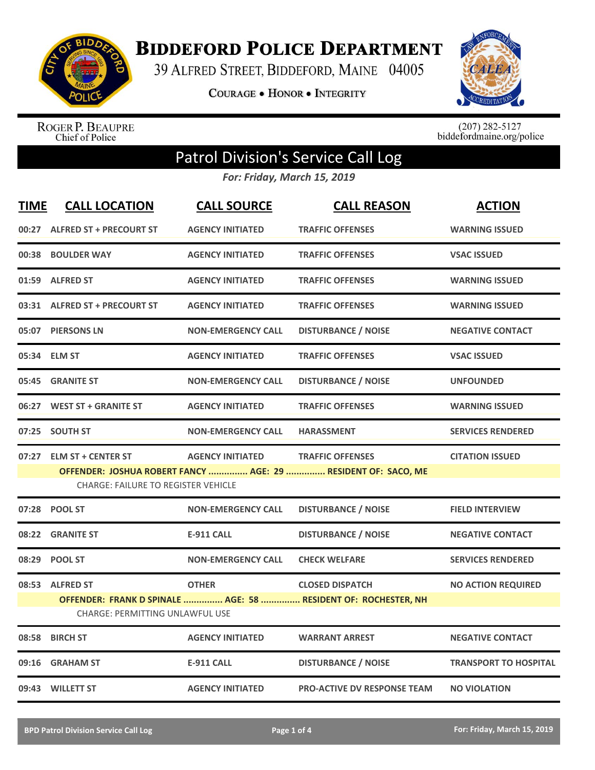

**BIDDEFORD POLICE DEPARTMENT** 

39 ALFRED STREET, BIDDEFORD, MAINE 04005

**COURAGE . HONOR . INTEGRITY** 



ROGER P. BEAUPRE<br>Chief of Police

 $(207)$  282-5127<br>biddefordmaine.org/police

## Patrol Division's Service Call Log

*For: Friday, March 15, 2019*

| <b>TIME</b> | <b>CALL LOCATION</b>                       | <b>CALL SOURCE</b>        | <b>CALL REASON</b>                                             | <b>ACTION</b>                |
|-------------|--------------------------------------------|---------------------------|----------------------------------------------------------------|------------------------------|
|             | 00:27 ALFRED ST + PRECOURT ST              | <b>AGENCY INITIATED</b>   | <b>TRAFFIC OFFENSES</b>                                        | <b>WARNING ISSUED</b>        |
|             | 00:38 BOULDER WAY                          | <b>AGENCY INITIATED</b>   | <b>TRAFFIC OFFENSES</b>                                        | <b>VSAC ISSUED</b>           |
|             | 01:59 ALFRED ST                            | <b>AGENCY INITIATED</b>   | <b>TRAFFIC OFFENSES</b>                                        | <b>WARNING ISSUED</b>        |
|             | 03:31 ALFRED ST + PRECOURT ST              | <b>AGENCY INITIATED</b>   | <b>TRAFFIC OFFENSES</b>                                        | <b>WARNING ISSUED</b>        |
|             | 05:07 PIERSONS LN                          | <b>NON-EMERGENCY CALL</b> | <b>DISTURBANCE / NOISE</b>                                     | <b>NEGATIVE CONTACT</b>      |
|             | 05:34 ELM ST                               | <b>AGENCY INITIATED</b>   | <b>TRAFFIC OFFENSES</b>                                        | <b>VSAC ISSUED</b>           |
|             | 05:45 GRANITE ST                           | <b>NON-EMERGENCY CALL</b> | <b>DISTURBANCE / NOISE</b>                                     | <b>UNFOUNDED</b>             |
|             | 06:27 WEST ST + GRANITE ST                 | <b>AGENCY INITIATED</b>   | <b>TRAFFIC OFFENSES</b>                                        | <b>WARNING ISSUED</b>        |
|             | 07:25 SOUTH ST                             | <b>NON-EMERGENCY CALL</b> | <b>HARASSMENT</b>                                              | <b>SERVICES RENDERED</b>     |
| 07:27       | <b>ELM ST + CENTER ST</b>                  | <b>AGENCY INITIATED</b>   | <b>TRAFFIC OFFENSES</b>                                        | <b>CITATION ISSUED</b>       |
|             | <b>CHARGE: FAILURE TO REGISTER VEHICLE</b> |                           | OFFENDER: JOSHUA ROBERT FANCY  AGE: 29  RESIDENT OF: SACO, ME  |                              |
|             | 07:28 POOL ST                              | <b>NON-EMERGENCY CALL</b> | <b>DISTURBANCE / NOISE</b>                                     | <b>FIELD INTERVIEW</b>       |
| 08:22       | <b>GRANITE ST</b>                          | <b>E-911 CALL</b>         | <b>DISTURBANCE / NOISE</b>                                     | <b>NEGATIVE CONTACT</b>      |
| 08:29       | <b>POOL ST</b>                             | <b>NON-EMERGENCY CALL</b> | <b>CHECK WELFARE</b>                                           | <b>SERVICES RENDERED</b>     |
|             | 08:53 ALFRED ST                            | <b>OTHER</b>              | <b>CLOSED DISPATCH</b>                                         | <b>NO ACTION REQUIRED</b>    |
|             | <b>CHARGE: PERMITTING UNLAWFUL USE</b>     |                           | OFFENDER: FRANK D SPINALE  AGE: 58  RESIDENT OF: ROCHESTER, NH |                              |
|             | 08:58 BIRCH ST                             | <b>AGENCY INITIATED</b>   | <b>WARRANT ARREST</b>                                          | <b>NEGATIVE CONTACT</b>      |
| 09:16       | <b>GRAHAM ST</b>                           | <b>E-911 CALL</b>         | <b>DISTURBANCE / NOISE</b>                                     | <b>TRANSPORT TO HOSPITAL</b> |
|             | 09:43 WILLETT ST                           | <b>AGENCY INITIATED</b>   | <b>PRO-ACTIVE DV RESPONSE TEAM</b>                             | <b>NO VIOLATION</b>          |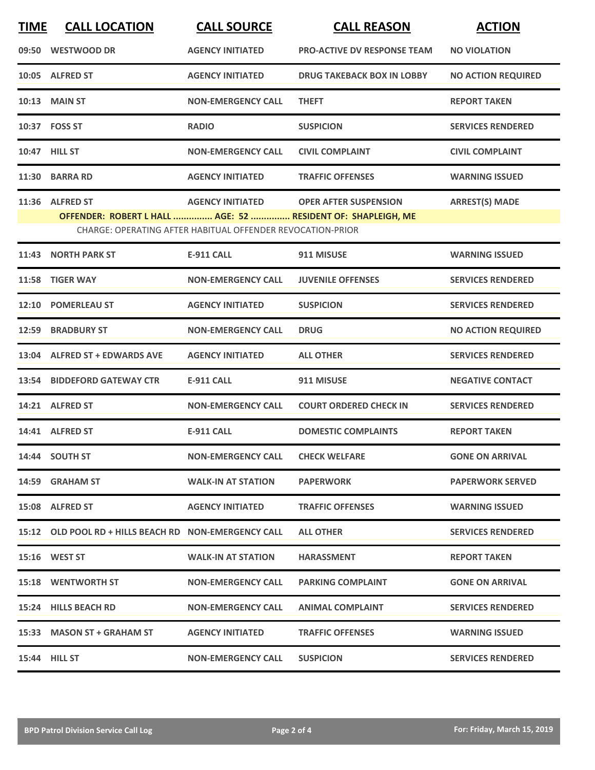| <b>TIME</b> | <b>CALL LOCATION</b>                                         | <b>CALL SOURCE</b>                                         | <b>CALL REASON</b>                 | <b>ACTION</b>             |  |  |
|-------------|--------------------------------------------------------------|------------------------------------------------------------|------------------------------------|---------------------------|--|--|
|             | 09:50 WESTWOOD DR                                            | <b>AGENCY INITIATED</b>                                    | <b>PRO-ACTIVE DV RESPONSE TEAM</b> | <b>NO VIOLATION</b>       |  |  |
|             | 10:05 ALFRED ST                                              | <b>AGENCY INITIATED</b>                                    | <b>DRUG TAKEBACK BOX IN LOBBY</b>  | <b>NO ACTION REQUIRED</b> |  |  |
|             | <b>10:13 MAIN ST</b>                                         | <b>NON-EMERGENCY CALL</b>                                  | <b>THEFT</b>                       | <b>REPORT TAKEN</b>       |  |  |
|             | 10:37 FOSS ST                                                | <b>RADIO</b>                                               | <b>SUSPICION</b>                   | <b>SERVICES RENDERED</b>  |  |  |
|             | <b>10:47 HILL ST</b>                                         | <b>NON-EMERGENCY CALL</b>                                  | <b>CIVIL COMPLAINT</b>             | <b>CIVIL COMPLAINT</b>    |  |  |
| 11:30       | <b>BARRA RD</b>                                              | <b>AGENCY INITIATED</b>                                    | <b>TRAFFIC OFFENSES</b>            | <b>WARNING ISSUED</b>     |  |  |
|             | 11:36 ALFRED ST                                              | <b>AGENCY INITIATED</b>                                    | <b>OPER AFTER SUSPENSION</b>       | <b>ARREST(S) MADE</b>     |  |  |
|             | OFFENDER: ROBERT L HALL  AGE: 52  RESIDENT OF: SHAPLEIGH, ME |                                                            |                                    |                           |  |  |
|             |                                                              | CHARGE: OPERATING AFTER HABITUAL OFFENDER REVOCATION-PRIOR |                                    |                           |  |  |
| 11:43       | <b>NORTH PARK ST</b>                                         | <b>E-911 CALL</b>                                          | 911 MISUSE                         | <b>WARNING ISSUED</b>     |  |  |
| 11:58       | <b>TIGER WAY</b>                                             | <b>NON-EMERGENCY CALL</b>                                  | <b>JUVENILE OFFENSES</b>           | <b>SERVICES RENDERED</b>  |  |  |
| 12:10       | <b>POMERLEAU ST</b>                                          | <b>AGENCY INITIATED</b>                                    | <b>SUSPICION</b>                   | <b>SERVICES RENDERED</b>  |  |  |
| 12:59       | <b>BRADBURY ST</b>                                           | <b>NON-EMERGENCY CALL</b>                                  | <b>DRUG</b>                        | <b>NO ACTION REQUIRED</b> |  |  |
| 13:04       | <b>ALFRED ST + EDWARDS AVE</b>                               | <b>AGENCY INITIATED</b>                                    | <b>ALL OTHER</b>                   | <b>SERVICES RENDERED</b>  |  |  |
| 13:54       | <b>BIDDEFORD GATEWAY CTR</b>                                 | <b>E-911 CALL</b>                                          | 911 MISUSE                         | <b>NEGATIVE CONTACT</b>   |  |  |
|             | 14:21 ALFRED ST                                              | <b>NON-EMERGENCY CALL</b>                                  | <b>COURT ORDERED CHECK IN</b>      | <b>SERVICES RENDERED</b>  |  |  |
|             | 14:41 ALFRED ST                                              | <b>E-911 CALL</b>                                          | <b>DOMESTIC COMPLAINTS</b>         | <b>REPORT TAKEN</b>       |  |  |
|             | 14:44 SOUTH ST                                               | <b>NON-EMERGENCY CALL</b>                                  | <b>CHECK WELFARE</b>               | <b>GONE ON ARRIVAL</b>    |  |  |
|             | 14:59 GRAHAM ST                                              | <b>WALK-IN AT STATION</b>                                  | <b>PAPERWORK</b>                   | <b>PAPERWORK SERVED</b>   |  |  |
|             | 15:08 ALFRED ST                                              | <b>AGENCY INITIATED</b>                                    | <b>TRAFFIC OFFENSES</b>            | <b>WARNING ISSUED</b>     |  |  |
|             | 15:12 OLD POOL RD + HILLS BEACH RD NON-EMERGENCY CALL        |                                                            | <b>ALL OTHER</b>                   | <b>SERVICES RENDERED</b>  |  |  |
|             | <b>15:16 WEST ST</b>                                         | <b>WALK-IN AT STATION</b>                                  | <b>HARASSMENT</b>                  | <b>REPORT TAKEN</b>       |  |  |
|             | <b>15:18 WENTWORTH ST</b>                                    | <b>NON-EMERGENCY CALL</b>                                  | <b>PARKING COMPLAINT</b>           | <b>GONE ON ARRIVAL</b>    |  |  |
|             | 15:24 HILLS BEACH RD                                         | <b>NON-EMERGENCY CALL</b>                                  | <b>ANIMAL COMPLAINT</b>            | <b>SERVICES RENDERED</b>  |  |  |
|             | 15:33 MASON ST + GRAHAM ST                                   | <b>AGENCY INITIATED</b>                                    | <b>TRAFFIC OFFENSES</b>            | <b>WARNING ISSUED</b>     |  |  |
|             | <b>15:44 HILL ST</b>                                         | <b>NON-EMERGENCY CALL</b>                                  | <b>SUSPICION</b>                   | <b>SERVICES RENDERED</b>  |  |  |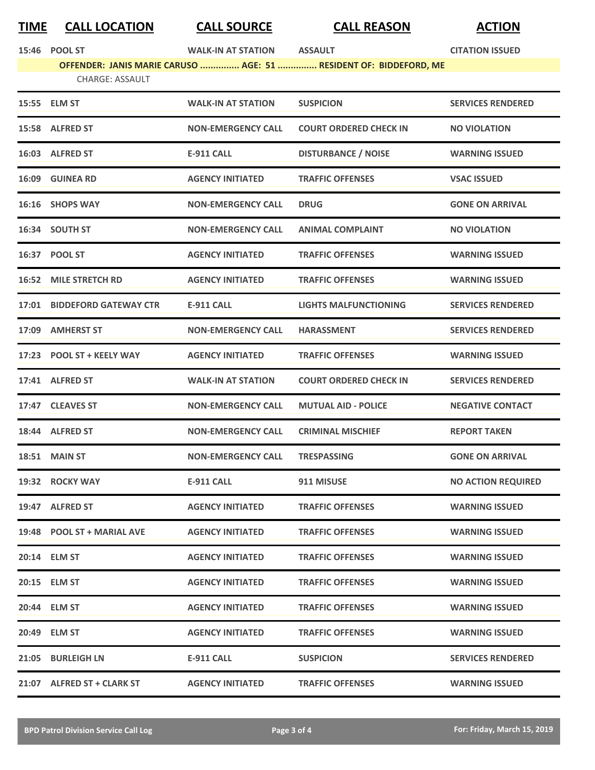## **TIME CALL LOCATION CALL SOURCE CALL REASON ACTION**

|       | 15:46 POOL ST                | <b>WALK-IN AT STATION</b> | <b>ASSAULT</b>                                                    | <b>CITATION ISSUED</b>    |
|-------|------------------------------|---------------------------|-------------------------------------------------------------------|---------------------------|
|       |                              |                           | OFFENDER: JANIS MARIE CARUSO  AGE: 51  RESIDENT OF: BIDDEFORD, ME |                           |
|       | <b>CHARGE: ASSAULT</b>       |                           |                                                                   |                           |
|       | 15:55 ELM ST                 | <b>WALK-IN AT STATION</b> | <b>SUSPICION</b>                                                  | <b>SERVICES RENDERED</b>  |
|       | 15:58 ALFRED ST              | <b>NON-EMERGENCY CALL</b> | <b>COURT ORDERED CHECK IN</b>                                     | <b>NO VIOLATION</b>       |
|       | 16:03 ALFRED ST              | <b>E-911 CALL</b>         | <b>DISTURBANCE / NOISE</b>                                        | <b>WARNING ISSUED</b>     |
|       | 16:09 GUINEA RD              | <b>AGENCY INITIATED</b>   | <b>TRAFFIC OFFENSES</b>                                           | <b>VSAC ISSUED</b>        |
|       | 16:16 SHOPS WAY              | <b>NON-EMERGENCY CALL</b> | <b>DRUG</b>                                                       | <b>GONE ON ARRIVAL</b>    |
|       | 16:34 SOUTH ST               | <b>NON-EMERGENCY CALL</b> | <b>ANIMAL COMPLAINT</b>                                           | <b>NO VIOLATION</b>       |
|       | 16:37 POOL ST                | <b>AGENCY INITIATED</b>   | <b>TRAFFIC OFFENSES</b>                                           | <b>WARNING ISSUED</b>     |
|       | <b>16:52 MILE STRETCH RD</b> | <b>AGENCY INITIATED</b>   | <b>TRAFFIC OFFENSES</b>                                           | <b>WARNING ISSUED</b>     |
| 17:01 | <b>BIDDEFORD GATEWAY CTR</b> | <b>E-911 CALL</b>         | <b>LIGHTS MALFUNCTIONING</b>                                      | <b>SERVICES RENDERED</b>  |
| 17:09 | <b>AMHERST ST</b>            | <b>NON-EMERGENCY CALL</b> | <b>HARASSMENT</b>                                                 | <b>SERVICES RENDERED</b>  |
|       | 17:23 POOL ST + KEELY WAY    | <b>AGENCY INITIATED</b>   | <b>TRAFFIC OFFENSES</b>                                           | <b>WARNING ISSUED</b>     |
|       | 17:41 ALFRED ST              | <b>WALK-IN AT STATION</b> | <b>COURT ORDERED CHECK IN</b>                                     | <b>SERVICES RENDERED</b>  |
|       | 17:47 CLEAVES ST             | <b>NON-EMERGENCY CALL</b> | <b>MUTUAL AID - POLICE</b>                                        | <b>NEGATIVE CONTACT</b>   |
|       | 18:44 ALFRED ST              | <b>NON-EMERGENCY CALL</b> | <b>CRIMINAL MISCHIEF</b>                                          | <b>REPORT TAKEN</b>       |
| 18:51 | <b>MAIN ST</b>               | <b>NON-EMERGENCY CALL</b> | TRESPASSING                                                       | <b>GONE ON ARRIVAL</b>    |
|       | 19:32 ROCKY WAY              | <b>E-911 CALL</b>         | 911 MISUSE                                                        | <b>NO ACTION REQUIRED</b> |
|       | 19:47 ALFRED ST              | <b>AGENCY INITIATED</b>   | <b>TRAFFIC OFFENSES</b>                                           | <b>WARNING ISSUED</b>     |
|       | 19:48 POOL ST + MARIAL AVE   | <b>AGENCY INITIATED</b>   | <b>TRAFFIC OFFENSES</b>                                           | <b>WARNING ISSUED</b>     |
|       | 20:14 ELM ST                 | <b>AGENCY INITIATED</b>   | <b>TRAFFIC OFFENSES</b>                                           | <b>WARNING ISSUED</b>     |
|       | 20:15 ELM ST                 | <b>AGENCY INITIATED</b>   | <b>TRAFFIC OFFENSES</b>                                           | <b>WARNING ISSUED</b>     |
|       | 20:44 ELM ST                 | <b>AGENCY INITIATED</b>   | <b>TRAFFIC OFFENSES</b>                                           | <b>WARNING ISSUED</b>     |
|       | 20:49 ELM ST                 | <b>AGENCY INITIATED</b>   | <b>TRAFFIC OFFENSES</b>                                           | <b>WARNING ISSUED</b>     |
|       | 21:05 BURLEIGH LN            | E-911 CALL                | <b>SUSPICION</b>                                                  | <b>SERVICES RENDERED</b>  |
|       | 21:07 ALFRED ST + CLARK ST   | <b>AGENCY INITIATED</b>   | <b>TRAFFIC OFFENSES</b>                                           | <b>WARNING ISSUED</b>     |